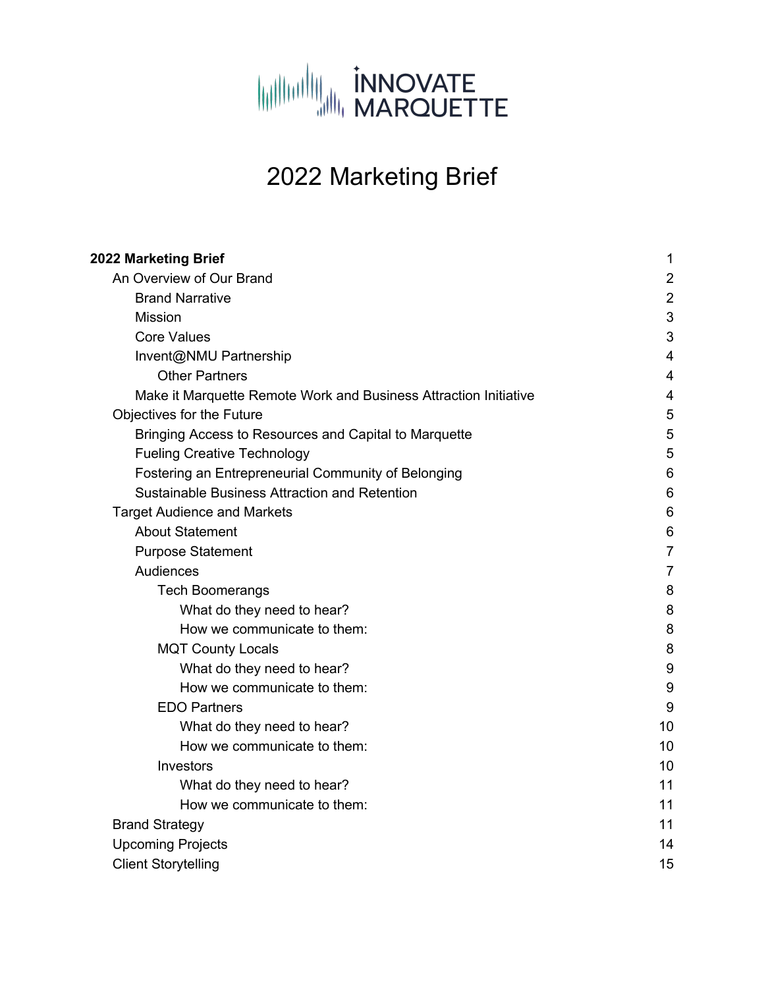

# 2022 Marketing Brief

| 2022 Marketing Brief                                             | 1              |
|------------------------------------------------------------------|----------------|
| An Overview of Our Brand                                         | $\overline{2}$ |
| <b>Brand Narrative</b>                                           | $\overline{2}$ |
| <b>Mission</b>                                                   | 3              |
| <b>Core Values</b>                                               | 3              |
| Invent@NMU Partnership                                           | 4              |
| <b>Other Partners</b>                                            | 4              |
| Make it Marquette Remote Work and Business Attraction Initiative | 4              |
| Objectives for the Future                                        | 5              |
| Bringing Access to Resources and Capital to Marquette            | 5              |
| <b>Fueling Creative Technology</b>                               | 5              |
| Fostering an Entrepreneurial Community of Belonging              | 6              |
| Sustainable Business Attraction and Retention                    | 6              |
| <b>Target Audience and Markets</b>                               | 6              |
| <b>About Statement</b>                                           | 6              |
| <b>Purpose Statement</b>                                         | 7              |
| Audiences                                                        | 7              |
| <b>Tech Boomerangs</b>                                           | 8              |
| What do they need to hear?                                       | 8              |
| How we communicate to them:                                      | 8              |
| <b>MQT County Locals</b>                                         | 8              |
| What do they need to hear?                                       | 9              |
| How we communicate to them:                                      | 9              |
| <b>EDO Partners</b>                                              | 9              |
| What do they need to hear?                                       | 10             |
| How we communicate to them:                                      | 10             |
| Investors                                                        | 10             |
| What do they need to hear?                                       | 11             |
| How we communicate to them:                                      | 11             |
| <b>Brand Strategy</b>                                            | 11             |
| <b>Upcoming Projects</b>                                         | 14             |
| <b>Client Storytelling</b>                                       | 15             |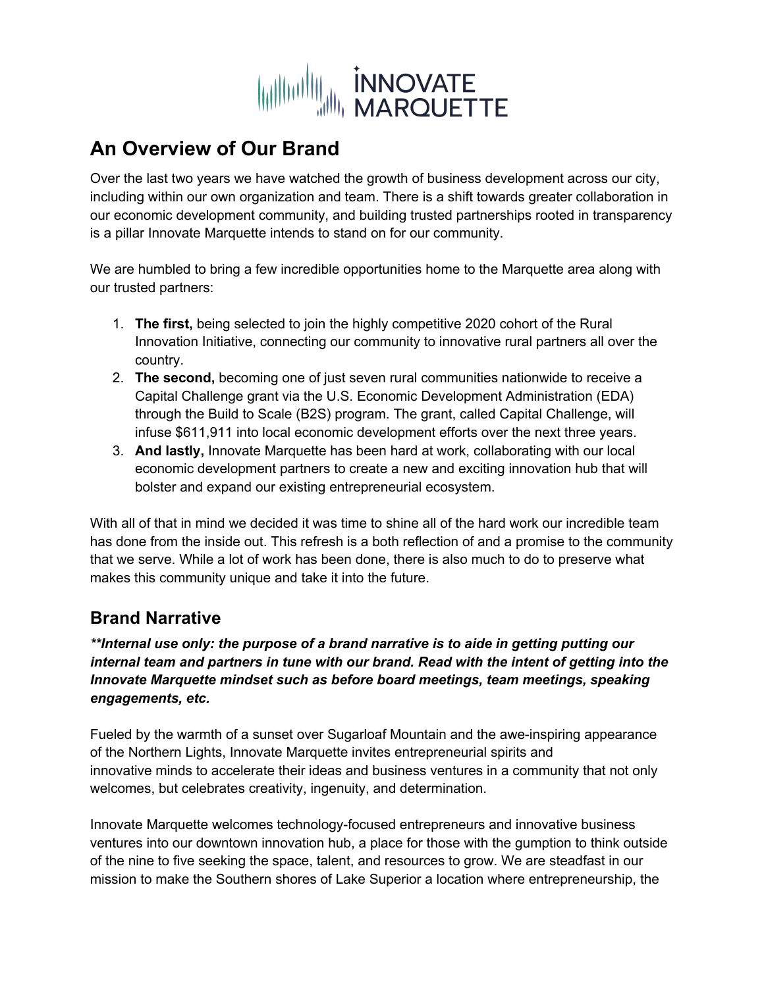

# **An Overview of Our Brand**

Over the last two years we have watched the growth of business development across our city, including within our own organization and team. There is a shift towards greater collaboration in our economic development community, and building trusted partnerships rooted in transparency is a pillar Innovate Marquette intends to stand on for our community.

We are humbled to bring a few incredible opportunities home to the Marquette area along with our trusted partners:

- 1. **The first,** being selected to join the highly competitive 2020 cohort of the Rural Innovation Initiative, connecting our community to innovative rural partners all over the country.
- 2. **The second,** becoming one of just seven rural communities nationwide to receive a Capital Challenge grant via the U.S. Economic Development Administration (EDA) through the Build to Scale (B2S) program. The grant, called Capital Challenge, will infuse \$611,911 into local economic development efforts over the next three years.
- 3. **And lastly,** Innovate Marquette has been hard at work, collaborating with our local economic development partners to create a new and exciting innovation hub that will bolster and expand our existing entrepreneurial ecosystem.

With all of that in mind we decided it was time to shine all of the hard work our incredible team has done from the inside out. This refresh is a both reflection of and a promise to the community that we serve. While a lot of work has been done, there is also much to do to preserve what makes this community unique and take it into the future.

# **Brand Narrative**

*\*\*Internal use only: the purpose of a brand narrative is to aide in getting putting our internal team and partners in tune with our brand. Read with the intent of getting into the Innovate Marquette mindset such as before board meetings, team meetings, speaking engagements, etc.* 

Fueled by the warmth of a sunset over Sugarloaf Mountain and the awe-inspiring appearance of the Northern Lights, Innovate Marquette invites entrepreneurial spirits and innovative minds to accelerate their ideas and business ventures in a community that not only welcomes, but celebrates creativity, ingenuity, and determination.

Innovate Marquette welcomes technology-focused entrepreneurs and innovative business ventures into our downtown innovation hub, a place for those with the gumption to think outside of the nine to five seeking the space, talent, and resources to grow. We are steadfast in our mission to make the Southern shores of Lake Superior a location where entrepreneurship, the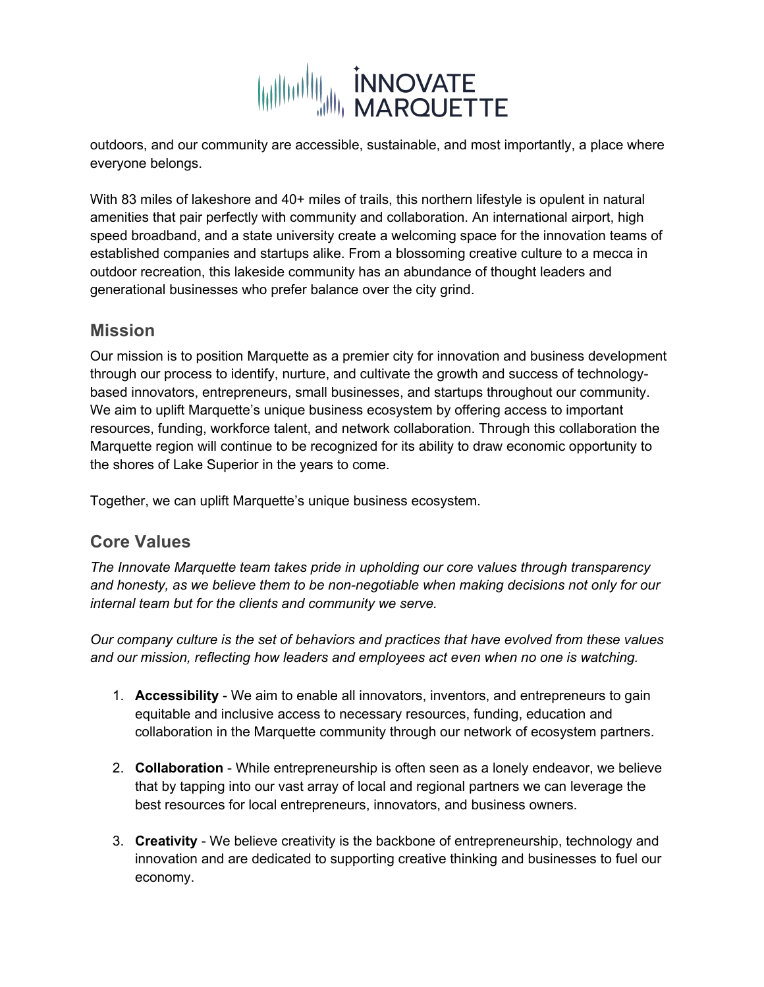

outdoors, and our community are accessible, sustainable, and most importantly, a place where everyone belongs.

With 83 miles of lakeshore and 40+ miles of trails, this northern lifestyle is opulent in natural amenities that pair perfectly with community and collaboration. An international airport, high speed broadband, and a state university create a welcoming space for the innovation teams of established companies and startups alike. From a blossoming creative culture to a mecca in outdoor recreation, this lakeside community has an abundance of thought leaders and generational businesses who prefer balance over the city grind.

### **Mission**

Our mission is to position Marquette as a premier city for innovation and business development through our process to identify, nurture, and cultivate the growth and success of technologybased innovators, entrepreneurs, small businesses, and startups throughout our community. We aim to uplift Marquette's unique business ecosystem by offering access to important resources, funding, workforce talent, and network collaboration. Through this collaboration the Marquette region will continue to be recognized for its ability to draw economic opportunity to the shores of Lake Superior in the years to come.

Together, we can uplift Marquette's unique business ecosystem.

## **Core Values**

*The Innovate Marquette team takes pride in upholding our core values through transparency and honesty, as we believe them to be non-negotiable when making decisions not only for our internal team but for the clients and community we serve.*

*Our company culture is the set of behaviors and practices that have evolved from these values and our mission, reflecting how leaders and employees act even when no one is watching.*

- 1. **Accessibility**  We aim to enable all innovators, inventors, and entrepreneurs to gain equitable and inclusive access to necessary resources, funding, education and collaboration in the Marquette community through our network of ecosystem partners.
- 2. **Collaboration** While entrepreneurship is often seen as a lonely endeavor, we believe that by tapping into our vast array of local and regional partners we can leverage the best resources for local entrepreneurs, innovators, and business owners.
- 3. **Creativity** We believe creativity is the backbone of entrepreneurship, technology and innovation and are dedicated to supporting creative thinking and businesses to fuel our economy.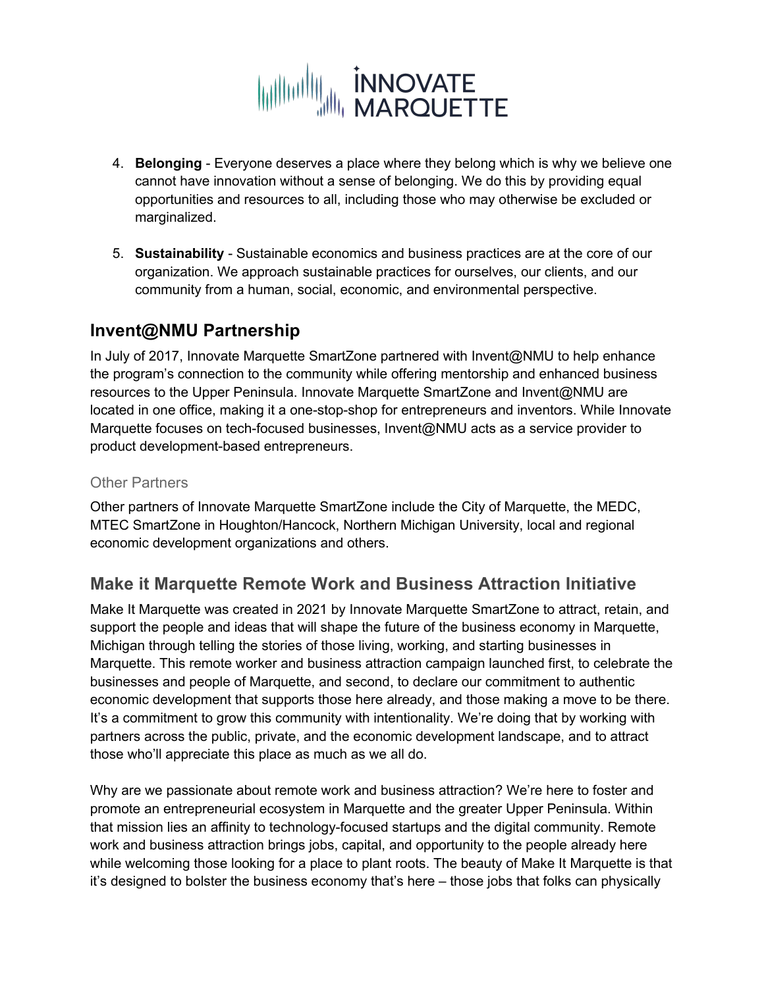

- 4. **Belonging**  Everyone deserves a place where they belong which is why we believe one cannot have innovation without a sense of belonging. We do this by providing equal opportunities and resources to all, including those who may otherwise be excluded or marginalized.
- 5. **Sustainability** Sustainable economics and business practices are at the core of our organization. We approach sustainable practices for ourselves, our clients, and our community from a human, social, economic, and environmental perspective.

# **Invent@NMU Partnership**

In July of 2017, Innovate Marquette SmartZone partnered with Invent@NMU to help enhance the program's connection to the community while offering mentorship and enhanced business resources to the Upper Peninsula. Innovate Marquette SmartZone and Invent@NMU are located in one office, making it a one-stop-shop for entrepreneurs and inventors. While Innovate Marquette focuses on tech-focused businesses, Invent@NMU acts as a service provider to product development-based entrepreneurs.

#### Other Partners

Other partners of Innovate Marquette SmartZone include the City of Marquette, the MEDC, MTEC SmartZone in Houghton/Hancock, Northern Michigan University, local and regional economic development organizations and others.

## **Make it Marquette Remote Work and Business Attraction Initiative**

Make It Marquette was created in 2021 by Innovate Marquette SmartZone to attract, retain, and support the people and ideas that will shape the future of the business economy in Marquette, Michigan through telling the stories of those living, working, and starting businesses in Marquette. This remote worker and business attraction campaign launched first, to celebrate the businesses and people of Marquette, and second, to declare our commitment to authentic economic development that supports those here already, and those making a move to be there. It's a commitment to grow this community with intentionality. We're doing that by working with partners across the public, private, and the economic development landscape, and to attract those who'll appreciate this place as much as we all do.

Why are we passionate about remote work and business attraction? We're here to foster and promote an entrepreneurial ecosystem in Marquette and the greater Upper Peninsula. Within that mission lies an affinity to technology-focused startups and the digital community. Remote work and business attraction brings jobs, capital, and opportunity to the people already here while welcoming those looking for a place to plant roots. The beauty of Make It Marquette is that it's designed to bolster the business economy that's here – those jobs that folks can physically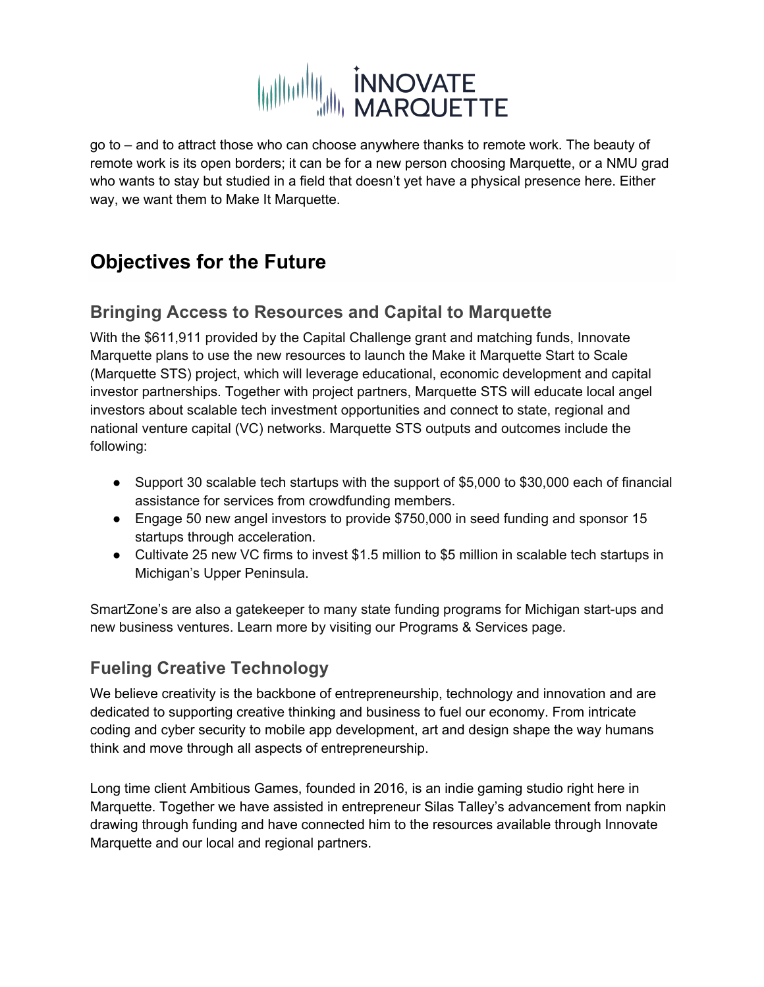# WILLIAM INNOVATE

go to – and to attract those who can choose anywhere thanks to remote work. The beauty of remote work is its open borders; it can be for a new person choosing Marquette, or a NMU grad who wants to stay but studied in a field that doesn't yet have a physical presence here. Either way, we want them to Make It Marquette.

# **Objectives for the Future**

# **Bringing Access to Resources and Capital to Marquette**

With the \$611,911 provided by the Capital Challenge grant and matching funds, Innovate Marquette plans to use the new resources to launch the Make it Marquette Start to Scale (Marquette STS) project, which will leverage educational, economic development and capital investor partnerships. Together with project partners, Marquette STS will educate local angel investors about scalable tech investment opportunities and connect to state, regional and national venture capital (VC) networks. Marquette STS outputs and outcomes include the following:

- Support 30 scalable tech startups with the support of \$5,000 to \$30,000 each of financial assistance for services from crowdfunding members.
- Engage 50 new angel investors to provide \$750,000 in seed funding and sponsor 15 startups through acceleration.
- Cultivate 25 new VC firms to invest \$1.5 million to \$5 million in scalable tech startups in Michigan's Upper Peninsula.

SmartZone's are also a gatekeeper to many state funding programs for Michigan start-ups and new business ventures. Learn more by visiting our Programs & Services page.

# **Fueling Creative Technology**

We believe creativity is the backbone of entrepreneurship, technology and innovation and are dedicated to supporting creative thinking and business to fuel our economy. From intricate coding and cyber security to mobile app development, art and design shape the way humans think and move through all aspects of entrepreneurship.

Long time client Ambitious Games, founded in 2016, is an indie gaming studio right here in Marquette. Together we have assisted in entrepreneur Silas Talley's advancement from napkin drawing through funding and have connected him to the resources available through Innovate Marquette and our local and regional partners.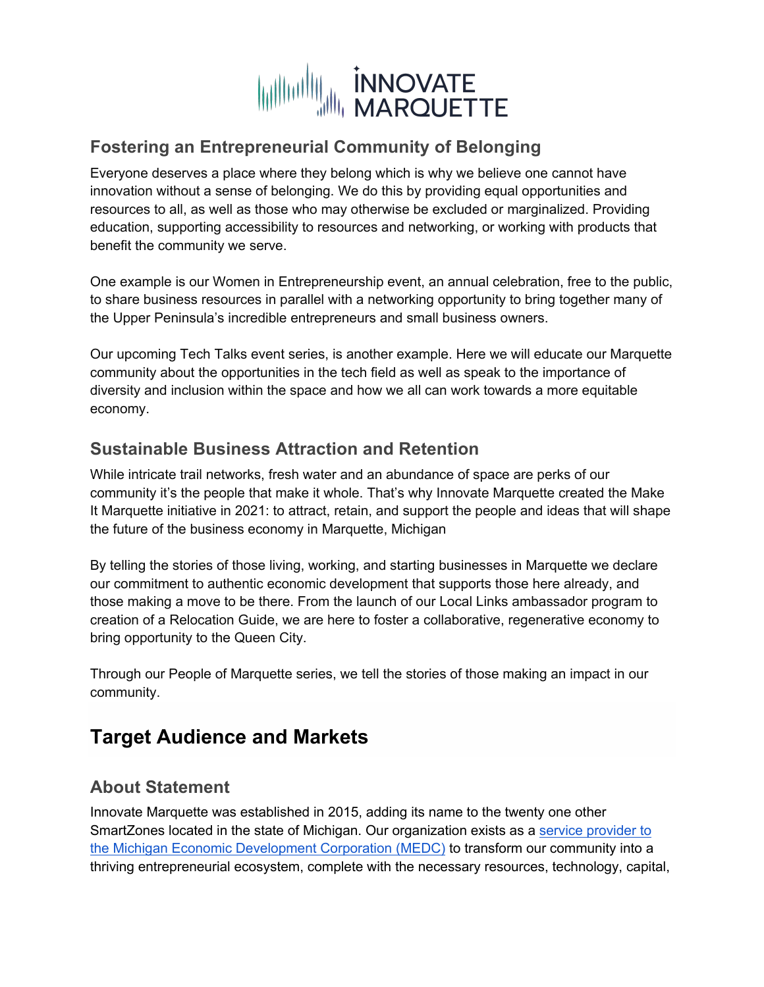

# **Fostering an Entrepreneurial Community of Belonging**

Everyone deserves a place where they belong which is why we believe one cannot have innovation without a sense of belonging. We do this by providing equal opportunities and resources to all, as well as those who may otherwise be excluded or marginalized. Providing education, supporting accessibility to resources and networking, or working with products that benefit the community we serve.

One example is our Women in Entrepreneurship event, an annual celebration, free to the public, to share business resources in parallel with a networking opportunity to bring together many of the Upper Peninsula's incredible entrepreneurs and small business owners.

Our upcoming Tech Talks event series, is another example. Here we will educate our Marquette community about the opportunities in the tech field as well as speak to the importance of diversity and inclusion within the space and how we all can work towards a more equitable economy.

## **Sustainable Business Attraction and Retention**

While intricate trail networks, fresh water and an abundance of space are perks of our community it's the people that make it whole. That's why Innovate Marquette created the Make It Marquette initiative in 2021: to attract, retain, and support the people and ideas that will shape the future of the business economy in Marquette, Michigan

By telling the stories of those living, working, and starting businesses in Marquette we declare our commitment to authentic economic development that supports those here already, and those making a move to be there. From the launch of our Local Links ambassador program to creation of a Relocation Guide, we are here to foster a collaborative, regenerative economy to bring opportunity to the Queen City.

Through our People of Marquette series, we tell the stories of those making an impact in our community.

# **Target Audience and Markets**

## **About Statement**

Innovate Marquette was established in 2015, adding its name to the twenty one other SmartZones located in the state of Michigan. Our organization exists as a service provider to the Michigan Economic Development Corporation (MEDC) to transform our community into a thriving entrepreneurial ecosystem, complete with the necessary resources, technology, capital,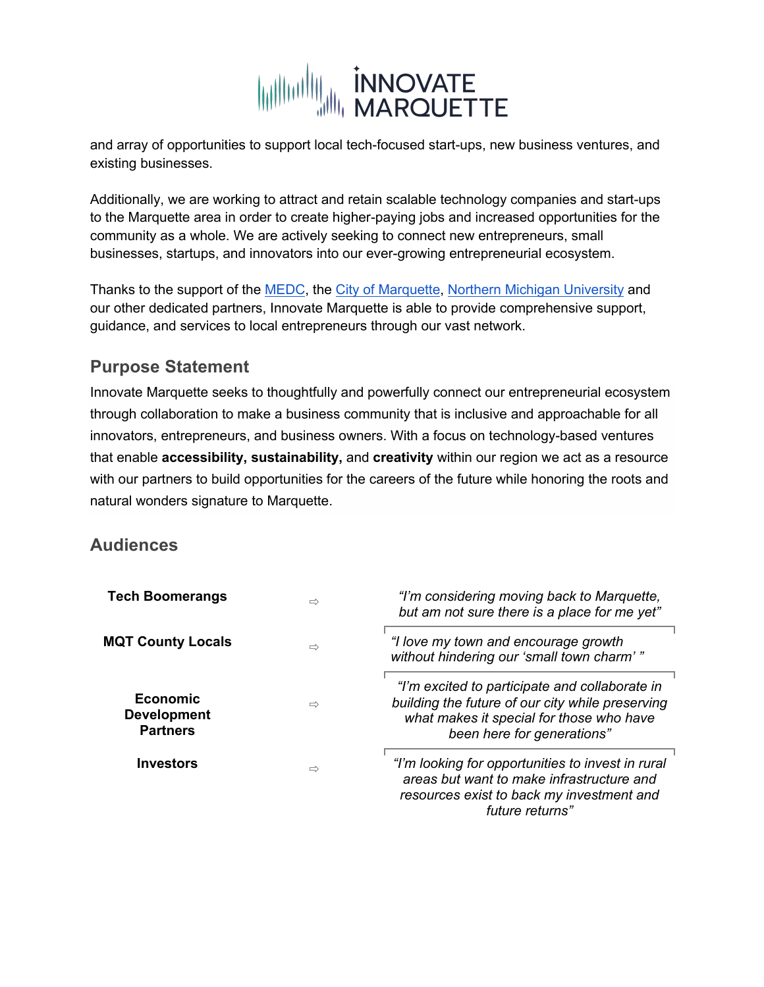

and array of opportunities to support local tech-focused start-ups, new business ventures, and existing businesses.

Additionally, we are working to attract and retain scalable technology companies and start-ups to the Marquette area in order to create higher-paying jobs and increased opportunities for the community as a whole. We are actively seeking to connect new entrepreneurs, small businesses, startups, and innovators into our ever-growing entrepreneurial ecosystem.

Thanks to the support of the MEDC, the City of Marquette, Northern Michigan University and our other dedicated partners, Innovate Marquette is able to provide comprehensive support, guidance, and services to local entrepreneurs through our vast network.

## **Purpose Statement**

Innovate Marquette seeks to thoughtfully and powerfully connect our entrepreneurial ecosystem through collaboration to make a business community that is inclusive and approachable for all innovators, entrepreneurs, and business owners. With a focus on technology-based ventures that enable **accessibility, sustainability,** and **creativity** within our region we act as a resource with our partners to build opportunities for the careers of the future while honoring the roots and natural wonders signature to Marquette.

## **Audiences**

| <b>Tech Boomerangs</b>                            | $\Rightarrow$ | "I'm considering moving back to Marquette,<br>but am not sure there is a place for me yet"                                                                                   |
|---------------------------------------------------|---------------|------------------------------------------------------------------------------------------------------------------------------------------------------------------------------|
| <b>MQT County Locals</b>                          | $\Rightarrow$ | "I love my town and encourage growth<br>without hindering our 'small town charm'"                                                                                            |
| Economic<br><b>Development</b><br><b>Partners</b> | $\Rightarrow$ | "I'm excited to participate and collaborate in<br>building the future of our city while preserving<br>what makes it special for those who have<br>been here for generations" |
| <b>Investors</b>                                  | $\Rightarrow$ | "I'm looking for opportunities to invest in rural<br>areas but want to make infrastructure and<br>resources exist to back my investment and<br>future returns"               |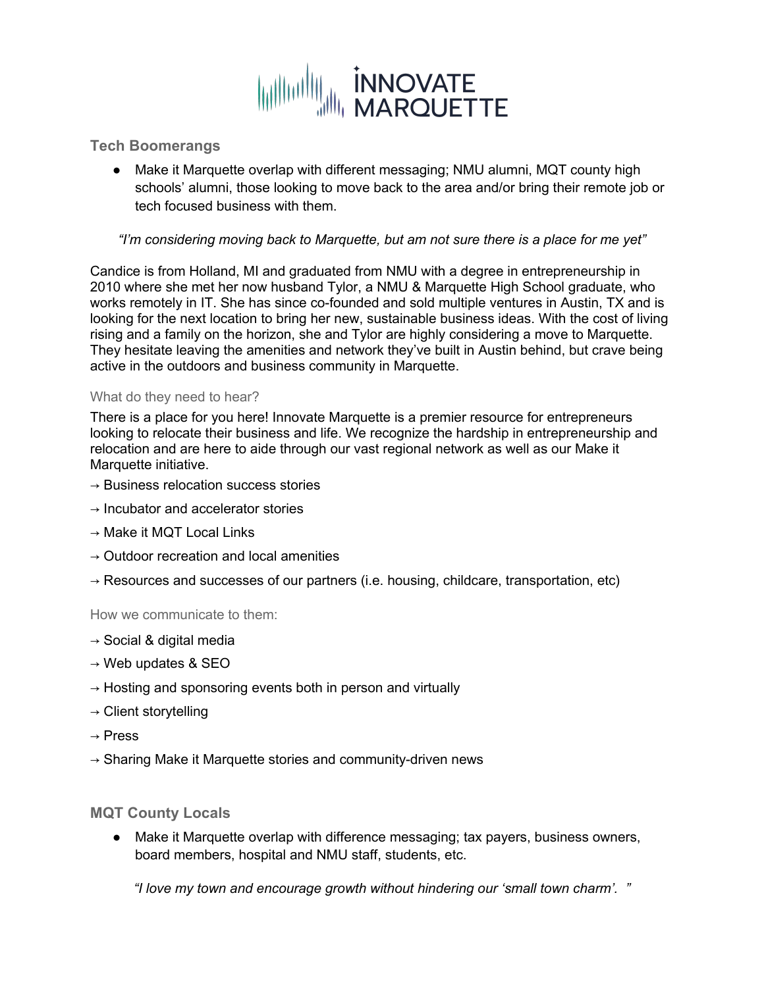

**Tech Boomerangs**

● Make it Marquette overlap with different messaging; NMU alumni, MQT county high schools' alumni, those looking to move back to the area and/or bring their remote job or tech focused business with them.

#### *"I'm considering moving back to Marquette, but am not sure there is a place for me yet"*

Candice is from Holland, MI and graduated from NMU with a degree in entrepreneurship in 2010 where she met her now husband Tylor, a NMU & Marquette High School graduate, who works remotely in IT. She has since co-founded and sold multiple ventures in Austin, TX and is looking for the next location to bring her new, sustainable business ideas. With the cost of living rising and a family on the horizon, she and Tylor are highly considering a move to Marquette. They hesitate leaving the amenities and network they've built in Austin behind, but crave being active in the outdoors and business community in Marquette.

#### What do they need to hear?

There is a place for you here! Innovate Marquette is a premier resource for entrepreneurs looking to relocate their business and life. We recognize the hardship in entrepreneurship and relocation and are here to aide through our vast regional network as well as our Make it Marquette initiative.

- $\rightarrow$  Business relocation success stories
- $\rightarrow$  Incubator and accelerator stories
- $\rightarrow$  Make it MQT Local Links
- $\rightarrow$  Outdoor recreation and local amenities
- $\rightarrow$  Resources and successes of our partners (i.e. housing, childcare, transportation, etc)

How we communicate to them:

- $\rightarrow$  Social & digital media
- $\rightarrow$  Web updates & SEO
- $\rightarrow$  Hosting and sponsoring events both in person and virtually
- $\rightarrow$  Client storytelling
- $\rightarrow$  Press
- $\rightarrow$  Sharing Make it Marquette stories and community-driven news

#### **MQT County Locals**

● Make it Marquette overlap with difference messaging; tax payers, business owners, board members, hospital and NMU staff, students, etc.

*"I love my town and encourage growth without hindering our 'small town charm'. "*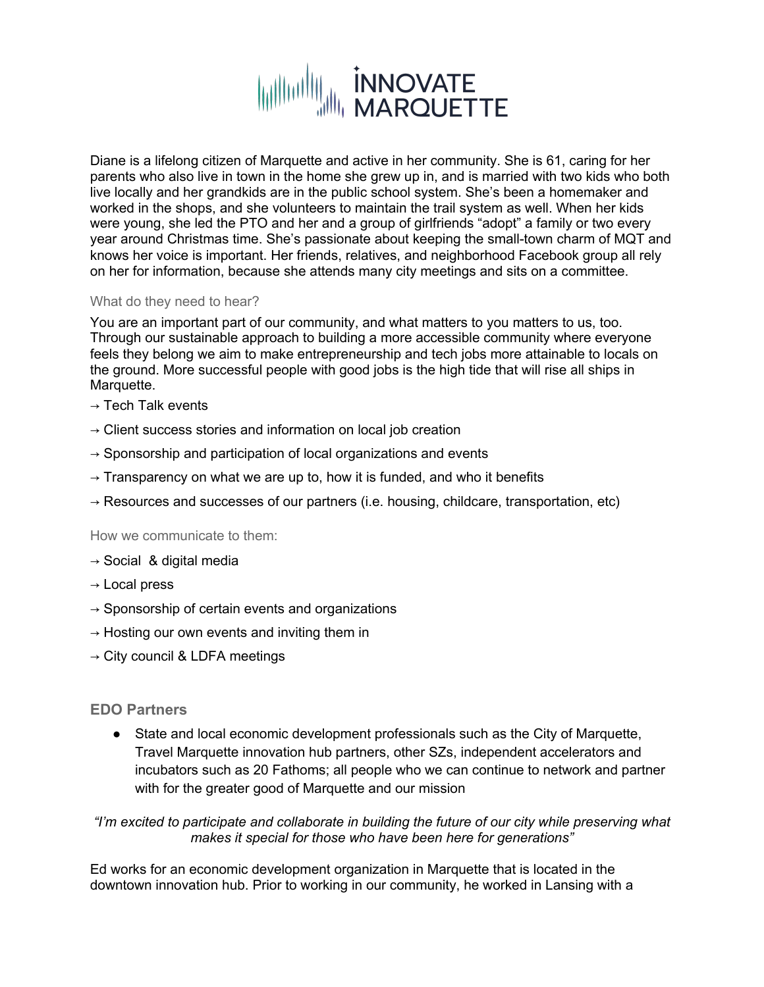

Diane is a lifelong citizen of Marquette and active in her community. She is 61, caring for her parents who also live in town in the home she grew up in, and is married with two kids who both live locally and her grandkids are in the public school system. She's been a homemaker and worked in the shops, and she volunteers to maintain the trail system as well. When her kids were young, she led the PTO and her and a group of girlfriends "adopt" a family or two every year around Christmas time. She's passionate about keeping the small-town charm of MQT and knows her voice is important. Her friends, relatives, and neighborhood Facebook group all rely on her for information, because she attends many city meetings and sits on a committee.

#### What do they need to hear?

You are an important part of our community, and what matters to you matters to us, too. Through our sustainable approach to building a more accessible community where everyone feels they belong we aim to make entrepreneurship and tech jobs more attainable to locals on the ground. More successful people with good jobs is the high tide that will rise all ships in Marquette.

- $\rightarrow$  Tech Talk events
- $\rightarrow$  Client success stories and information on local job creation
- $\rightarrow$  Sponsorship and participation of local organizations and events
- $\rightarrow$  Transparency on what we are up to, how it is funded, and who it benefits
- $\rightarrow$  Resources and successes of our partners (i.e. housing, childcare, transportation, etc)

How we communicate to them:

- $\rightarrow$  Social & digital media
- $\rightarrow$  Local press
- $\rightarrow$  Sponsorship of certain events and organizations
- $\rightarrow$  Hosting our own events and inviting them in
- $\rightarrow$  City council & LDFA meetings

#### **EDO Partners**

● State and local economic development professionals such as the City of Marquette, Travel Marquette innovation hub partners, other SZs, independent accelerators and incubators such as 20 Fathoms; all people who we can continue to network and partner with for the greater good of Marquette and our mission

*"I'm excited to participate and collaborate in building the future of our city while preserving what makes it special for those who have been here for generations"*

Ed works for an economic development organization in Marquette that is located in the downtown innovation hub. Prior to working in our community, he worked in Lansing with a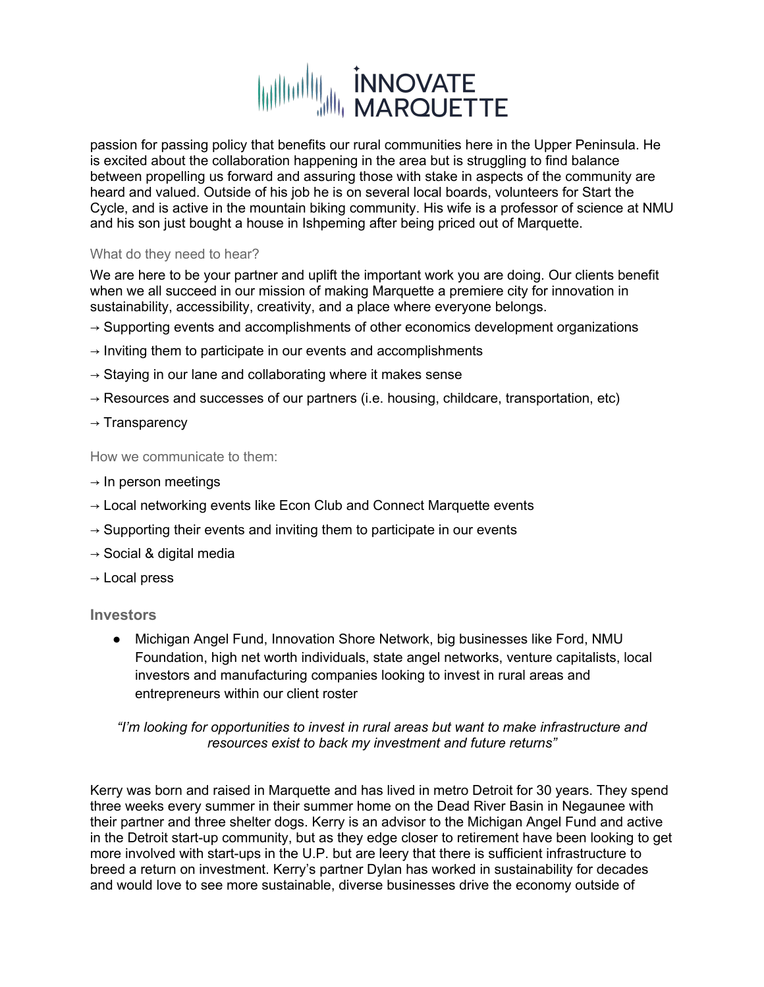

passion for passing policy that benefits our rural communities here in the Upper Peninsula. He is excited about the collaboration happening in the area but is struggling to find balance between propelling us forward and assuring those with stake in aspects of the community are heard and valued. Outside of his job he is on several local boards, volunteers for Start the Cycle, and is active in the mountain biking community. His wife is a professor of science at NMU and his son just bought a house in Ishpeming after being priced out of Marquette.

#### What do they need to hear?

We are here to be your partner and uplift the important work you are doing. Our clients benefit when we all succeed in our mission of making Marquette a premiere city for innovation in sustainability, accessibility, creativity, and a place where everyone belongs.

- $\rightarrow$  Supporting events and accomplishments of other economics development organizations
- $\rightarrow$  Inviting them to participate in our events and accomplishments
- $\rightarrow$  Staying in our lane and collaborating where it makes sense
- $\rightarrow$  Resources and successes of our partners (i.e. housing, childcare, transportation, etc)
- $\rightarrow$  Transparency

How we communicate to them:

- $\rightarrow$  In person meetings
- $\rightarrow$  Local networking events like Econ Club and Connect Marguette events
- $\rightarrow$  Supporting their events and inviting them to participate in our events
- $\rightarrow$  Social & digital media
- $\rightarrow$  Local press

#### **Investors**

● Michigan Angel Fund, Innovation Shore Network, big businesses like Ford, NMU Foundation, high net worth individuals, state angel networks, venture capitalists, local investors and manufacturing companies looking to invest in rural areas and entrepreneurs within our client roster

#### *"I'm looking for opportunities to invest in rural areas but want to make infrastructure and resources exist to back my investment and future returns"*

Kerry was born and raised in Marquette and has lived in metro Detroit for 30 years. They spend three weeks every summer in their summer home on the Dead River Basin in Negaunee with their partner and three shelter dogs. Kerry is an advisor to the Michigan Angel Fund and active in the Detroit start-up community, but as they edge closer to retirement have been looking to get more involved with start-ups in the U.P. but are leery that there is sufficient infrastructure to breed a return on investment. Kerry's partner Dylan has worked in sustainability for decades and would love to see more sustainable, diverse businesses drive the economy outside of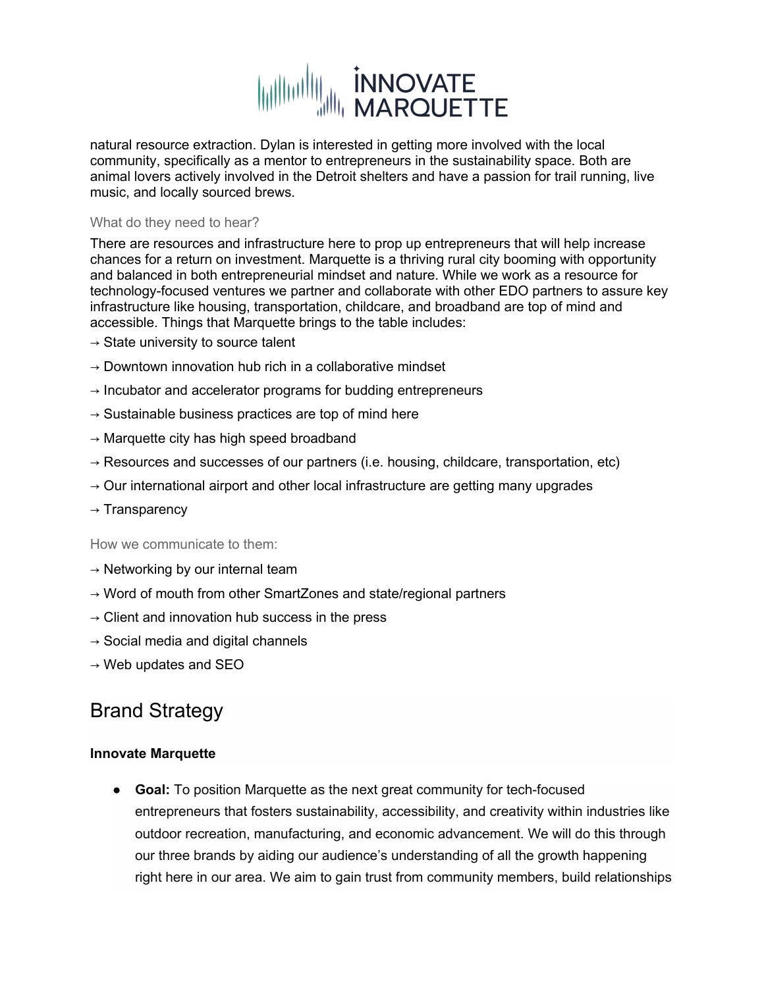

natural resource extraction. Dylan is interested in getting more involved with the local community, specifically as a mentor to entrepreneurs in the sustainability space. Both are animal lovers actively involved in the Detroit shelters and have a passion for trail running, live music, and locally sourced brews.

#### What do they need to hear?

There are resources and infrastructure here to prop up entrepreneurs that will help increase chances for a return on investment. Marquette is a thriving rural city booming with opportunity and balanced in both entrepreneurial mindset and nature. While we work as a resource for technology-focused ventures we partner and collaborate with other EDO partners to assure key infrastructure like housing, transportation, childcare, and broadband are top of mind and accessible. Things that Marquette brings to the table includes:

- $\rightarrow$  State university to source talent
- $\rightarrow$  Downtown innovation hub rich in a collaborative mindset
- $\rightarrow$  Incubator and accelerator programs for budding entrepreneurs
- $\rightarrow$  Sustainable business practices are top of mind here
- $\rightarrow$  Marquette city has high speed broadband
- $\rightarrow$  Resources and successes of our partners (i.e. housing, childcare, transportation, etc)
- $\rightarrow$  Our international airport and other local infrastructure are getting many upgrades
- $\rightarrow$  Transparency

How we communicate to them:

- $\rightarrow$  Networking by our internal team
- $\rightarrow$  Word of mouth from other SmartZones and state/regional partners
- $\rightarrow$  Client and innovation hub success in the press
- $\rightarrow$  Social media and digital channels
- $\rightarrow$  Web updates and SEO

# Brand Strategy

#### **Innovate Marquette**

● **Goal:** To position Marquette as the next great community for tech-focused entrepreneurs that fosters sustainability, accessibility, and creativity within industries like outdoor recreation, manufacturing, and economic advancement. We will do this through our three brands by aiding our audience's understanding of all the growth happening right here in our area. We aim to gain trust from community members, build relationships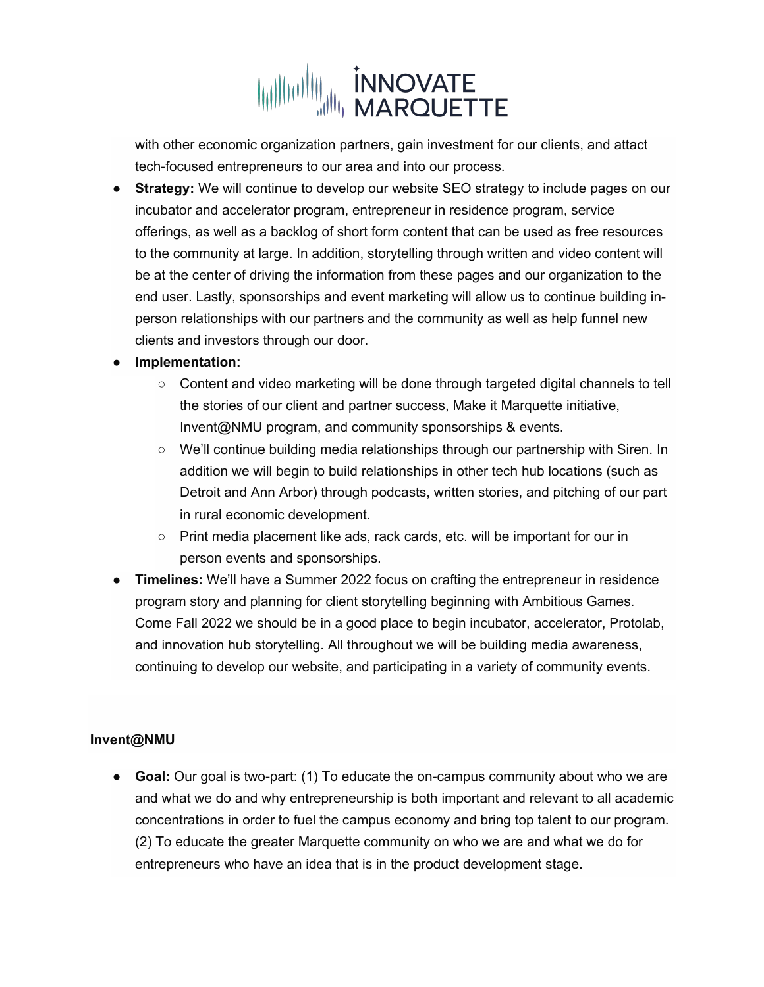

with other economic organization partners, gain investment for our clients, and attact tech-focused entrepreneurs to our area and into our process.

**Strategy:** We will continue to develop our website SEO strategy to include pages on our incubator and accelerator program, entrepreneur in residence program, service offerings, as well as a backlog of short form content that can be used as free resources to the community at large. In addition, storytelling through written and video content will be at the center of driving the information from these pages and our organization to the end user. Lastly, sponsorships and event marketing will allow us to continue building inperson relationships with our partners and the community as well as help funnel new clients and investors through our door.

#### ● **Implementation:**

- Content and video marketing will be done through targeted digital channels to tell the stories of our client and partner success, Make it Marquette initiative, Invent@NMU program, and community sponsorships & events.
- We'll continue building media relationships through our partnership with Siren. In addition we will begin to build relationships in other tech hub locations (such as Detroit and Ann Arbor) through podcasts, written stories, and pitching of our part in rural economic development.
- Print media placement like ads, rack cards, etc, will be important for our in person events and sponsorships.
- **Timelines:** We'll have a Summer 2022 focus on crafting the entrepreneur in residence program story and planning for client storytelling beginning with Ambitious Games. Come Fall 2022 we should be in a good place to begin incubator, accelerator, Protolab, and innovation hub storytelling. All throughout we will be building media awareness, continuing to develop our website, and participating in a variety of community events.

#### **Invent@NMU**

● **Goal:** Our goal is two-part: (1) To educate the on-campus community about who we are and what we do and why entrepreneurship is both important and relevant to all academic concentrations in order to fuel the campus economy and bring top talent to our program. (2) To educate the greater Marquette community on who we are and what we do for entrepreneurs who have an idea that is in the product development stage.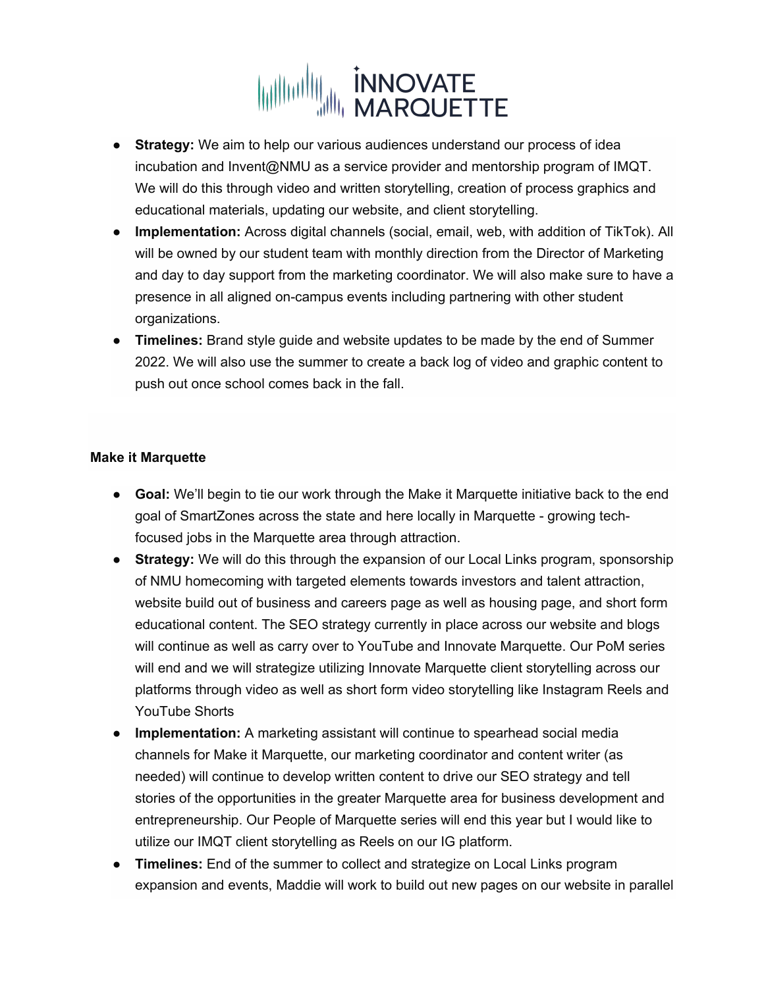

- **Strategy:** We aim to help our various audiences understand our process of idea incubation and Invent@NMU as a service provider and mentorship program of IMQT. We will do this through video and written storytelling, creation of process graphics and educational materials, updating our website, and client storytelling.
- **Implementation:** Across digital channels (social, email, web, with addition of TikTok). All will be owned by our student team with monthly direction from the Director of Marketing and day to day support from the marketing coordinator. We will also make sure to have a presence in all aligned on-campus events including partnering with other student organizations.
- **Timelines:** Brand style guide and website updates to be made by the end of Summer 2022. We will also use the summer to create a back log of video and graphic content to push out once school comes back in the fall.

#### **Make it Marquette**

- **Goal:** We'll begin to tie our work through the Make it Marquette initiative back to the end goal of SmartZones across the state and here locally in Marquette - growing techfocused jobs in the Marquette area through attraction.
- **Strategy:** We will do this through the expansion of our Local Links program, sponsorship of NMU homecoming with targeted elements towards investors and talent attraction, website build out of business and careers page as well as housing page, and short form educational content. The SEO strategy currently in place across our website and blogs will continue as well as carry over to YouTube and Innovate Marquette. Our PoM series will end and we will strategize utilizing Innovate Marquette client storytelling across our platforms through video as well as short form video storytelling like Instagram Reels and YouTube Shorts
- **Implementation:** A marketing assistant will continue to spearhead social media channels for Make it Marquette, our marketing coordinator and content writer (as needed) will continue to develop written content to drive our SEO strategy and tell stories of the opportunities in the greater Marquette area for business development and entrepreneurship. Our People of Marquette series will end this year but I would like to utilize our IMQT client storytelling as Reels on our IG platform.
- **Timelines:** End of the summer to collect and strategize on Local Links program expansion and events, Maddie will work to build out new pages on our website in parallel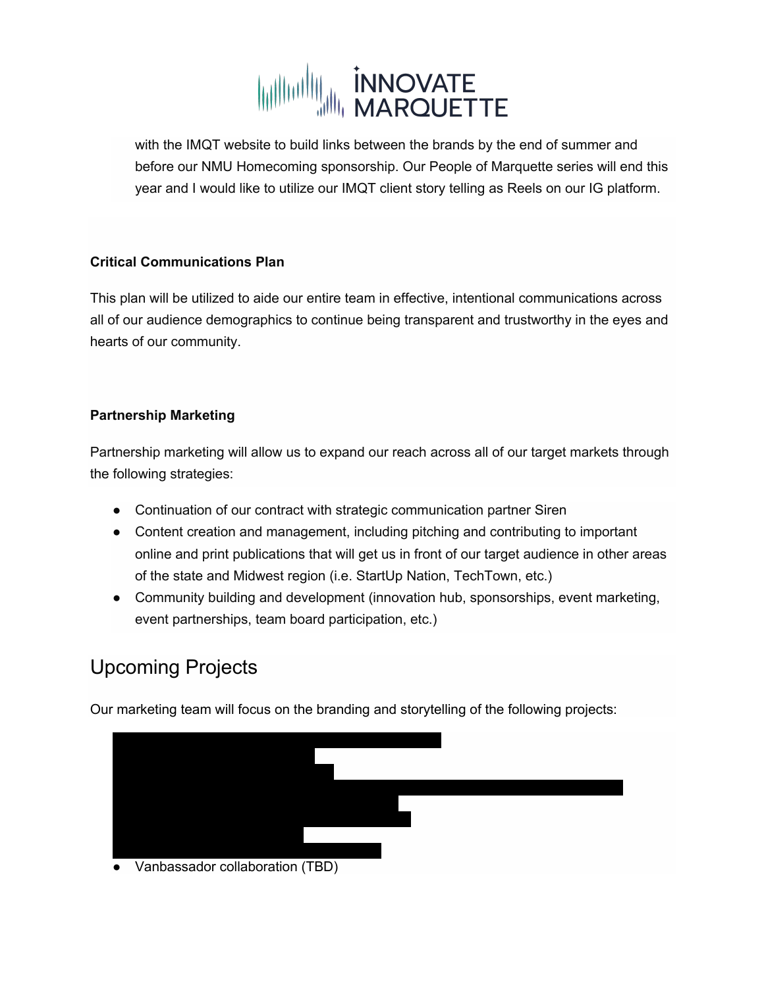

with the IMQT website to build links between the brands by the end of summer and before our NMU Homecoming sponsorship. Our People of Marquette series will end this year and I would like to utilize our IMQT client story telling as Reels on our IG platform.

#### **Critical Communications Plan**

This plan will be utilized to aide our entire team in effective, intentional communications across all of our audience demographics to continue being transparent and trustworthy in the eyes and hearts of our community.

#### **Partnership Marketing**

Partnership marketing will allow us to expand our reach across all of our target markets through the following strategies:

- Continuation of our contract with strategic communication partner Siren
- Content creation and management, including pitching and contributing to important online and print publications that will get us in front of our target audience in other areas of the state and Midwest region (i.e. StartUp Nation, TechTown, etc.)
- Community building and development (innovation hub, sponsorships, event marketing, event partnerships, team board participation, etc.)

# Upcoming Projects

Our marketing team will focus on the branding and storytelling of the following projects: